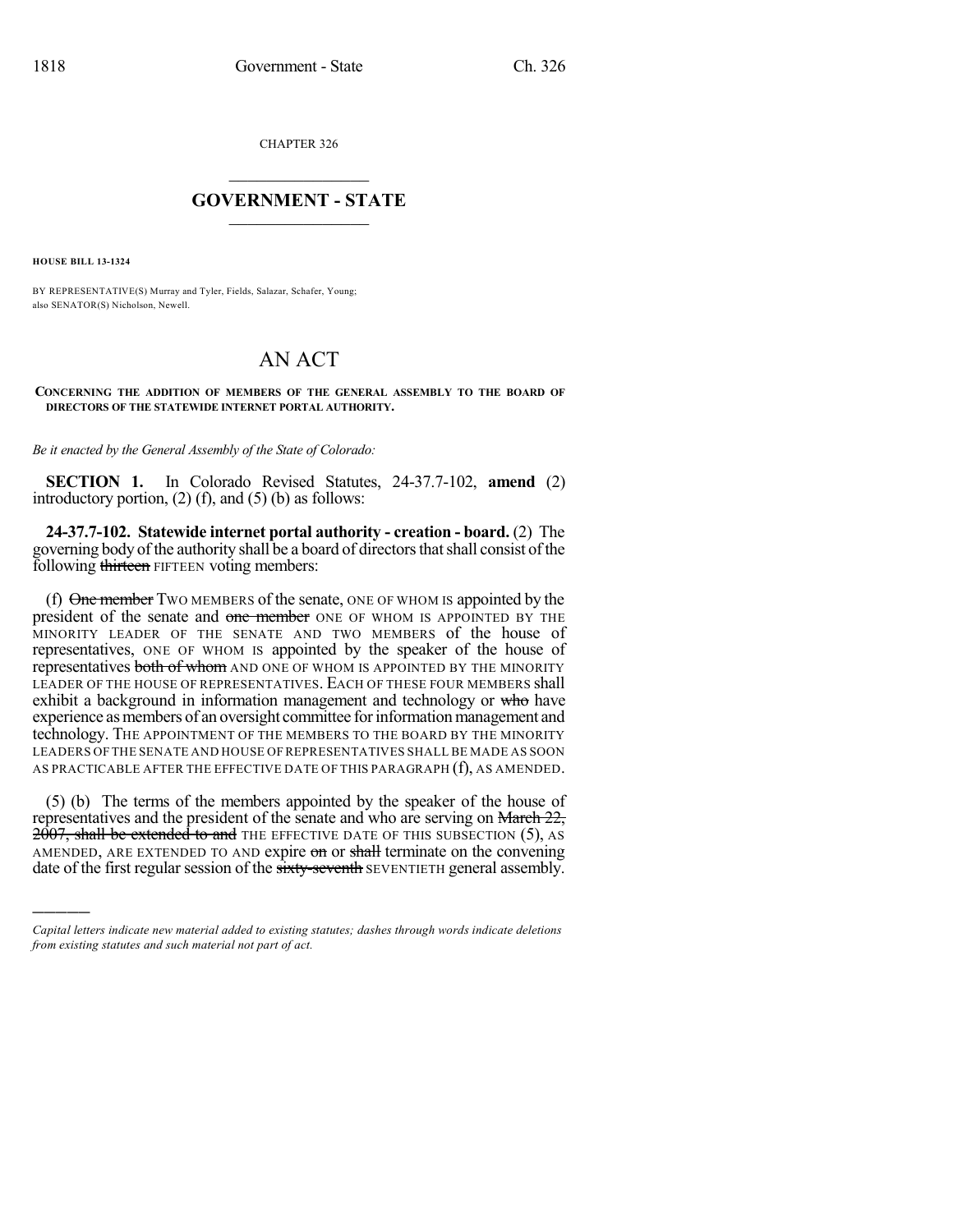CHAPTER 326

## $\mathcal{L}_\text{max}$  . The set of the set of the set of the set of the set of the set of the set of the set of the set of the set of the set of the set of the set of the set of the set of the set of the set of the set of the set **GOVERNMENT - STATE**  $\_$   $\_$   $\_$   $\_$   $\_$   $\_$   $\_$   $\_$   $\_$

**HOUSE BILL 13-1324**

)))))

BY REPRESENTATIVE(S) Murray and Tyler, Fields, Salazar, Schafer, Young; also SENATOR(S) Nicholson, Newell.

## AN ACT

**CONCERNING THE ADDITION OF MEMBERS OF THE GENERAL ASSEMBLY TO THE BOARD OF DIRECTORS OF THE STATEWIDE INTERNET PORTAL AUTHORITY.**

*Be it enacted by the General Assembly of the State of Colorado:*

**SECTION 1.** In Colorado Revised Statutes, 24-37.7-102, **amend** (2) introductory portion,  $(2)$  (f), and  $(5)$  (b) as follows:

**24-37.7-102. Statewide internet portal authority - creation - board.** (2) The governing body of the authority shall be a board of directorsthatshall consist ofthe following thirteen FIFTEEN voting members:

(f)  $\Theta$  member Two MEMBERS of the senate, ONE OF WHOM IS appointed by the president of the senate and one member ONE OF WHOM IS APPOINTED BY THE MINORITY LEADER OF THE SENATE AND TWO MEMBERS of the house of representatives, ONE OF WHOM IS appointed by the speaker of the house of representatives both of whom AND ONE OF WHOM IS APPOINTED BY THE MINORITY LEADER OF THE HOUSE OF REPRESENTATIVES. EACH OF THESE FOUR MEMBERS shall exhibit a background in information management and technology or who have experience as members of an oversight committee for information management and technology. THE APPOINTMENT OF THE MEMBERS TO THE BOARD BY THE MINORITY LEADERS OF THE SENATE AND HOUSE OF REPRESENTATIVES SHALL BE MADE AS SOON AS PRACTICABLE AFTER THE EFFECTIVE DATE OF THIS PARAGRAPH (f), AS AMENDED.

(5) (b) The terms of the members appointed by the speaker of the house of representatives and the president of the senate and who are serving on March 22, 2007, shall be extended to and THE EFFECTIVE DATE OF THIS SUBSECTION (5), AS AMENDED, ARE EXTENDED TO AND expire on or shall terminate on the convening date of the first regular session of the sixty-seventh SEVENTIETH general assembly.

*Capital letters indicate new material added to existing statutes; dashes through words indicate deletions from existing statutes and such material not part of act.*